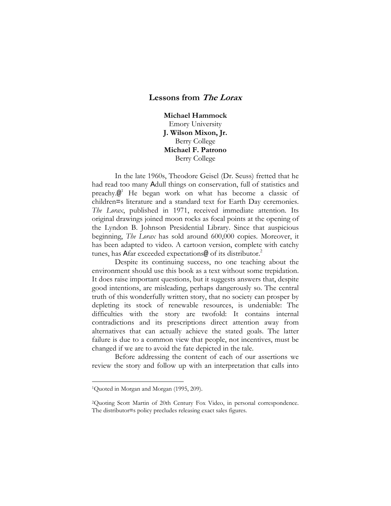# **Lessons from The Lorax**

**Michael Hammock** Emory University **J. Wilson Mixon, Jr.** Berry College **Michael F. Patrono** Berry College

In the late 1960s, Theodore Geisel (Dr. Seuss) fretted that he had read too many Adull things on conservation, full of statistics and preachy.@<sup>1</sup> He began work on what has become a classic of children=s literature and a standard text for Earth Day ceremonies. *The Lorax*, published in 1971, received immediate attention. Its original drawings joined moon rocks as focal points at the opening of the Lyndon B. Johnson Presidential Library. Since that auspicious beginning, *The Lorax* has sold around 600,000 copies. Moreover, it has been adapted to video. A cartoon version, complete with catchy tunes, has Afar exceeded expectations@ of its distributor.<sup>2</sup>

Despite its continuing success, no one teaching about the environment should use this book as a text without some trepidation. It does raise important questions, but it suggests answers that, despite good intentions, are misleading, perhaps dangerously so. The central truth of this wonderfully written story, that no society can prosper by depleting its stock of renewable resources, is undeniable: The difficulties with the story are twofold: It contains internal contradictions and its prescriptions direct attention away from alternatives that can actually achieve the stated goals. The latter failure is due to a common view that people, not incentives, must be changed if we are to avoid the fate depicted in the tale.

Before addressing the content of each of our assertions we review the story and follow up with an interpretation that calls into

<sup>&</sup>lt;sup>1</sup>Quoted in Morgan and Morgan (1995, 209).

<sup>2</sup>Quoting Scott Martin of 20th Century Fox Video, in personal correspondence. The distributor=s policy precludes releasing exact sales figures.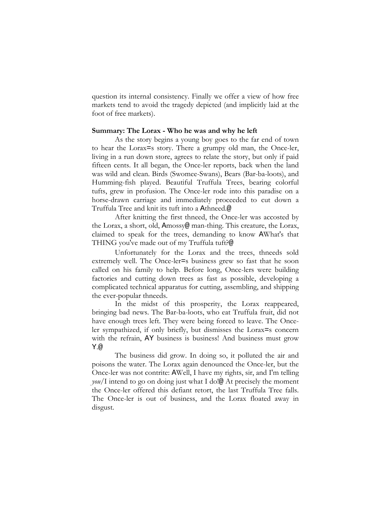question its internal consistency. Finally we offer a view of how free markets tend to avoid the tragedy depicted (and implicitly laid at the foot of free markets).

# **Summary: The Lorax - Who he was and why he left**

As the story begins a young boy goes to the far end of town to hear the Lorax=s story. There a grumpy old man, the Once-ler, living in a run down store, agrees to relate the story, but only if paid fifteen cents. It all began, the Once-ler reports, back when the land was wild and clean. Birds (Swomee-Swans), Bears (Bar-ba-loots), and Humming-fish played. Beautiful Truffula Trees, bearing colorful tufts, grew in profusion. The Once-ler rode into this paradise on a horse-drawn carriage and immediately proceeded to cut down a Truffula Tree and knit its tuft into a Athneed.@

After knitting the first thneed, the Once-ler was accosted by the Lorax, a short, old, Amossy@ man-thing. This creature, the Lorax, claimed to speak for the trees, demanding to know AWhat's that THING you've made out of my Truffula tuft?@

Unfortunately for the Lorax and the trees, thneeds sold extremely well. The Once-ler=s business grew so fast that he soon called on his family to help. Before long, Once-lers were building factories and cutting down trees as fast as possible, developing a complicated technical apparatus for cutting, assembling, and shipping the ever-popular thneeds.

In the midst of this prosperity, the Lorax reappeared, bringing bad news. The Bar-ba-loots, who eat Truffula fruit, did not have enough trees left. They were being forced to leave. The Onceler sympathized, if only briefly, but dismisses the Lorax=s concern with the refrain, AY business is business! And business must grow Y.@

The business did grow. In doing so, it polluted the air and poisons the water. The Lorax again denounced the Once-ler, but the Once-ler was not contrite: AWell, I have my rights, sir, and I'm telling *you/*I intend to go on doing just what I do!@ At precisely the moment the Once-ler offered this defiant retort, the last Truffula Tree falls. The Once-ler is out of business, and the Lorax floated away in disgust.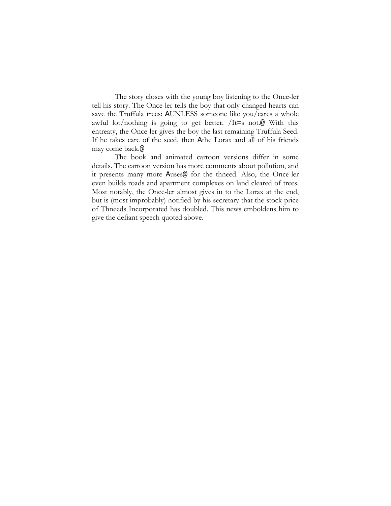The story closes with the young boy listening to the Once-ler tell his story. The Once-ler tells the boy that only changed hearts can save the Truffula trees: AUNLESS someone like you/cares a whole awful lot/nothing is going to get better. /It=s not.@ With this entreaty, the Once-ler gives the boy the last remaining Truffula Seed. If he takes care of the seed, then Athe Lorax and all of his friends may come back.@

The book and animated cartoon versions differ in some details. The cartoon version has more comments about pollution, and it presents many more Auses@ for the thneed. Also, the Once-ler even builds roads and apartment complexes on land cleared of trees. Most notably, the Once-ler almost gives in to the Lorax at the end, but is (most improbably) notified by his secretary that the stock price of Thneeds Incorporated has doubled. This news emboldens him to give the defiant speech quoted above.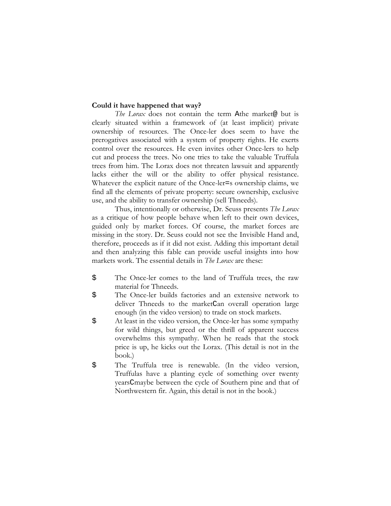# **Could it have happened that way?**

*The Lorax* does not contain the term Athe market@ but is clearly situated within a framework of (at least implicit) private ownership of resources. The Once-ler does seem to have the prerogatives associated with a system of property rights. He exerts control over the resources. He even invites other Once-lers to help cut and process the trees. No one tries to take the valuable Truffula trees from him. The Lorax does not threaten lawsuit and apparently lacks either the will or the ability to offer physical resistance. Whatever the explicit nature of the Once-ler=s ownership claims, we find all the elements of private property: secure ownership, exclusive use, and the ability to transfer ownership (sell Thneeds).

Thus, intentionally or otherwise, Dr. Seuss presents *The Lorax* as a critique of how people behave when left to their own devices, guided only by market forces. Of course, the market forces are missing in the story. Dr. Seuss could not see the Invisible Hand and, therefore, proceeds as if it did not exist. Adding this important detail and then analyzing this fable can provide useful insights into how markets work. The essential details in *The Lorax* are these:

- \$ The Once-ler comes to the land of Truffula trees, the raw material for Thneeds.
- \$ The Once-ler builds factories and an extensive network to deliver Thneeds to the marketCan overall operation large enough (in the video version) to trade on stock markets.
- \$ At least in the video version, the Once-ler has some sympathy for wild things, but greed or the thrill of apparent success overwhelms this sympathy. When he reads that the stock price is up, he kicks out the Lorax. (This detail is not in the book.)
- \$ The Truffula tree is renewable. (In the video version, Truffulas have a planting cycle of something over twenty yearsCmaybe between the cycle of Southern pine and that of Northwestern fir. Again, this detail is not in the book.)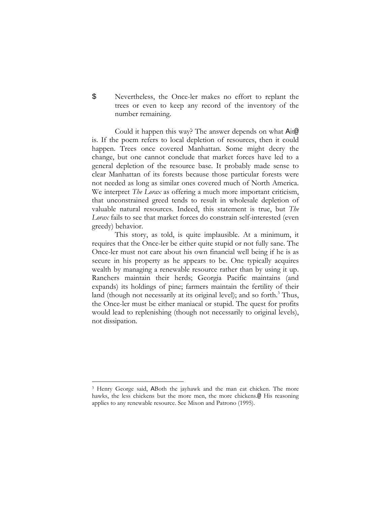\$ Nevertheless, the Once-ler makes no effort to replant the trees or even to keep any record of the inventory of the number remaining.

Could it happen this way? The answer depends on what Ait@ is. If the poem refers to local depletion of resources, then it could happen. Trees once covered Manhattan. Some might decry the change, but one cannot conclude that market forces have led to a general depletion of the resource base. It probably made sense to clear Manhattan of its forests because those particular forests were not needed as long as similar ones covered much of North America. We interpret *The Lorax* as offering a much more important criticism, that unconstrained greed tends to result in wholesale depletion of valuable natural resources. Indeed, this statement is true, but *The Lorax* fails to see that market forces do constrain self-interested (even greedy) behavior.

This story, as told, is quite implausible. At a minimum, it requires that the Once-ler be either quite stupid or not fully sane. The Once-ler must not care about his own financial well being if he is as secure in his property as he appears to be. One typically acquires wealth by managing a renewable resource rather than by using it up. Ranchers maintain their herds; Georgia Pacific maintains (and expands) its holdings of pine; farmers maintain the fertility of their land (though not necessarily at its original level); and so forth.<sup>3</sup> Thus, the Once-ler must be either maniacal or stupid. The quest for profits would lead to replenishing (though not necessarily to original levels), not dissipation.

<sup>&</sup>lt;sup>3</sup> Henry George said, ABoth the jayhawk and the man eat chicken. The more hawks, the less chickens but the more men, the more chickens.@ His reasoning applies to any renewable resource. See Mixon and Patrono (1995).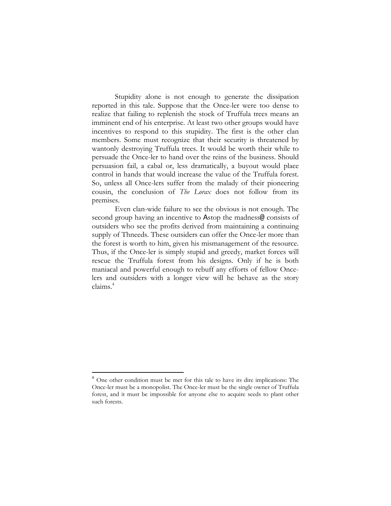Stupidity alone is not enough to generate the dissipation reported in this tale. Suppose that the Once-ler were too dense to realize that failing to replenish the stock of Truffula trees means an imminent end of his enterprise. At least two other groups would have incentives to respond to this stupidity. The first is the other clan members. Some must recognize that their security is threatened by wantonly destroying Truffula trees. It would be worth their while to persuade the Once-ler to hand over the reins of the business. Should persuasion fail, a cabal or, less dramatically, a buyout would place control in hands that would increase the value of the Truffula forest. So, unless all Once-lers suffer from the malady of their pioneering cousin, the conclusion of *The Lorax* does not follow from its premises.

Even clan-wide failure to see the obvious is not enough. The second group having an incentive to Astop the madness@ consists of outsiders who see the profits derived from maintaining a continuing supply of Thneeds. These outsiders can offer the Once-ler more than the forest is worth to him, given his mismanagement of the resource. Thus, if the Once-ler is simply stupid and greedy, market forces will rescue the Truffula forest from his designs. Only if he is both maniacal and powerful enough to rebuff any efforts of fellow Oncelers and outsiders with a longer view will he behave as the story claims.4

<sup>&</sup>lt;sup>4</sup> One other condition must be met for this tale to have its dire implications: The Once-ler must be a monopolist. The Once-ler must be the single owner of Truffula forest, and it must be impossible for anyone else to acquire seeds to plant other such forests.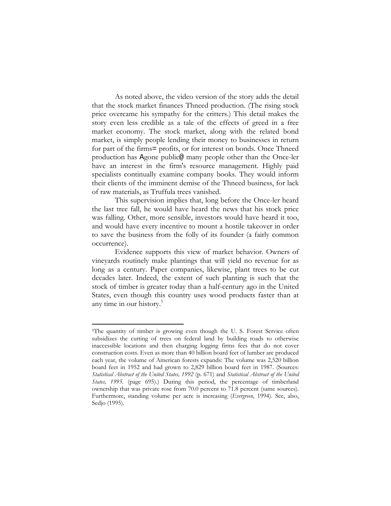As noted above, the video version of the story adds the detail that the stock market finances Thneed production. (The rising stock price overcame his sympathy for the critters.) This detail makes the story even less credible as a tale of the effects of greed in a free market economy. The stock market, along with the related bond market, is simply people lending their money to businesses in return for part of the firms= profits, or for interest on bonds. Once Thneed production has Agone public@ many people other than the Once-ler have an interest in the firm's resource management. Highly paid specialists continually examine company books. They would inform their clients of the imminent demise of the Thneed business, for lack of raw materials, as Truffula trees vanished.

This supervision implies that, long before the Once-ler heard the last tree fall, he would have heard the news that his stock price was falling. Other, more sensible, investors would have heard it too, and would have every incentive to mount a hostile takeover in order to save the business from the folly of its founder (a fairly common occurrence).

Evidence supports this view of market behavior. Owners of vineyards routinely make plantings that will yield no revenue for as long as a century. Paper companies, likewise, plant trees to be cut decades later. Indeed, the extent of such planting is such that the stock of timber is greater today than a half-century ago in the United States, even though this country uses wood products faster than at any time in our history.<sup>5</sup>

<sup>&</sup>lt;sup>5</sup>The quantity of timber is growing even though the U.S. Forest Service often subsidizes the cutting of trees on federal land by building roads to otherwise inaccessible locations and then charging logging firms fees that do not cover construction costs. Even as more than 40 billion board feet of lumber are produced each year, the volume of American forests expands: The volume was 2,520 billion board feet in 1952 and had grown to 2,829 billion board feet in 1987. (Sources: *Statistical Abstract of the United States, 1992* (p. 671) and *Statistical Abstract of the United States, 1995*. (page 695).) During this period, the percentage of timberland ownership that was private rose from 70.0 percent to 71.8 percent (same sources). Furthermore, standing volume per acre is increasing (*Evergreen*, 1994). See, also, Sedjo (1995).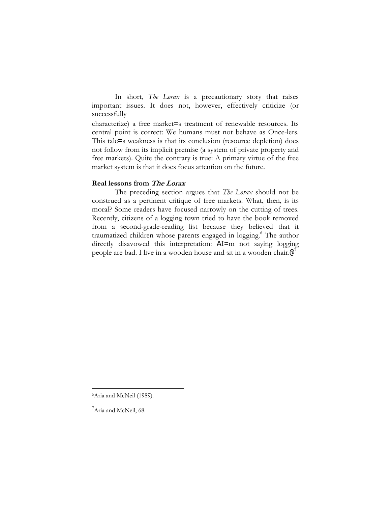In short, *The Lorax* is a precautionary story that raises important issues. It does not, however, effectively criticize (or successfully

characterize) a free market=s treatment of renewable resources. Its central point is correct: We humans must not behave as Once-lers. This tale=s weakness is that its conclusion (resource depletion) does not follow from its implicit premise (a system of private property and free markets). Quite the contrary is true: A primary virtue of the free market system is that it does focus attention on the future.

#### **Real lessons from The Lorax**

The preceding section argues that *The Lorax* should not be construed as a pertinent critique of free markets. What, then, is its moral? Some readers have focused narrowly on the cutting of trees. Recently, citizens of a logging town tried to have the book removed from a second-grade-reading list because they believed that it traumatized children whose parents engaged in logging.6 The author directly disavowed this interpretation: AI=m not saying logging people are bad. I live in a wooden house and sit in a wooden chair.@<sup>7</sup>

<sup>&</sup>lt;sup>6</sup>Aria and McNeil (1989).

<sup>&</sup>lt;sup>7</sup>Aria and McNeil, 68.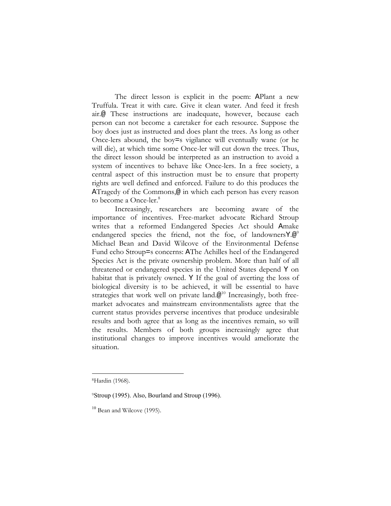The direct lesson is explicit in the poem: APlant a new Truffula. Treat it with care. Give it clean water. And feed it fresh air.@ These instructions are inadequate, however, because each person can not become a caretaker for each resource. Suppose the boy does just as instructed and does plant the trees. As long as other Once-lers abound, the boy=s vigilance will eventually wane (or he will die), at which time some Once-ler will cut down the trees. Thus, the direct lesson should be interpreted as an instruction to avoid a system of incentives to behave like Once-lers. In a free society, a central aspect of this instruction must be to ensure that property rights are well defined and enforced. Failure to do this produces the ATragedy of the Commons,@ in which each person has every reason to become a Once-ler.<sup>8</sup>

Increasingly, researchers are becoming aware of the importance of incentives. Free-market advocate Richard Stroup writes that a reformed Endangered Species Act should Amake endangered species the friend, not the foe, of landowners  $Y \cdot \mathcal{Q}^9$ Michael Bean and David Wilcove of the Environmental Defense Fund echo Stroup=s concerns: AThe Achilles heel of the Endangered Species Act is the private ownership problem. More than half of all threatened or endangered species in the United States depend Y on habitat that is privately owned. Y If the goal of averting the loss of biological diversity is to be achieved, it will be essential to have strategies that work well on private land. $@<sup>10</sup>$  Increasingly, both freemarket advocates and mainstream environmentalists agree that the current status provides perverse incentives that produce undesirable results and both agree that as long as the incentives remain, so will the results. Members of both groups increasingly agree that institutional changes to improve incentives would ameliorate the situation.

<sup>8</sup>Hardin (1968).

<sup>9</sup>Stroup (1995). Also, Bourland and Stroup (1996).

<sup>&</sup>lt;sup>10</sup> Bean and Wilcove (1995).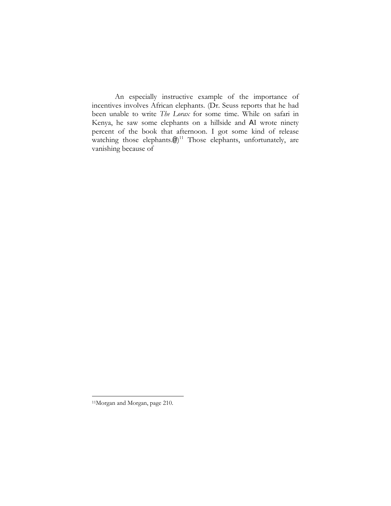An especially instructive example of the importance of incentives involves African elephants. (Dr. Seuss reports that he had been unable to write *The Lorax* for some time. While on safari in Kenya, he saw some elephants on a hillside and AI wrote ninety percent of the book that afternoon. I got some kind of release watching those elephants. $\circledast)^{11}$  Those elephants, unfortunately, are vanishing because of

<sup>11</sup>Morgan and Morgan, page 210.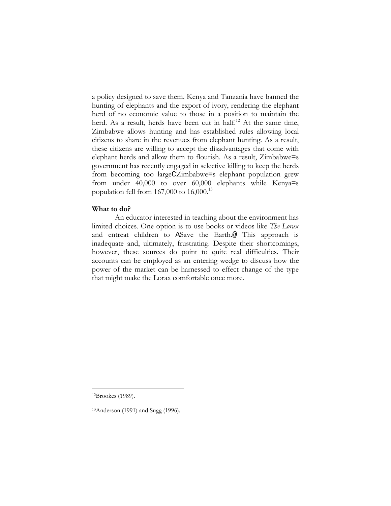a policy designed to save them. Kenya and Tanzania have banned the hunting of elephants and the export of ivory, rendering the elephant herd of no economic value to those in a position to maintain the herd. As a result, herds have been cut in half.<sup>12</sup> At the same time, Zimbabwe allows hunting and has established rules allowing local citizens to share in the revenues from elephant hunting. As a result, these citizens are willing to accept the disadvantages that come with elephant herds and allow them to flourish. As a result, Zimbabwe=s government has recently engaged in selective killing to keep the herds from becoming too largeCZimbabwe=s elephant population grew from under 40,000 to over 60,000 elephants while Kenya=s population fell from  $167,000$  to  $16,000$ .<sup>13</sup>

## **What to do?**

An educator interested in teaching about the environment has limited choices. One option is to use books or videos like *The Lorax* and entreat children to ASave the Earth.@ This approach is inadequate and, ultimately, frustrating. Despite their shortcomings, however, these sources do point to quite real difficulties. Their accounts can be employed as an entering wedge to discuss how the power of the market can be harnessed to effect change of the type that might make the Lorax comfortable once more.

<sup>12</sup>Brookes (1989).

<sup>13</sup>Anderson (1991) and Sugg (1996).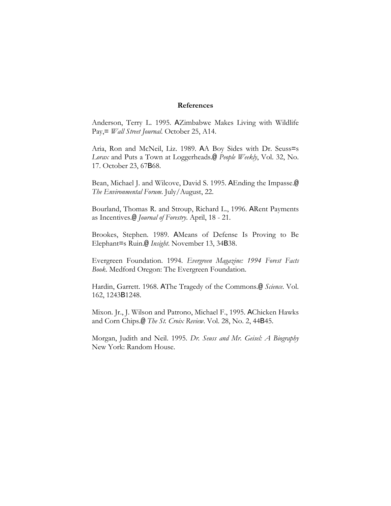### **References**

Anderson, Terry L. 1995. AZimbabwe Makes Living with Wildlife Pay,= *Wall Street Journal*. October 25, A14.

Aria, Ron and McNeil, Liz. 1989. AA Boy Sides with Dr. Seuss=s *Lorax* and Puts a Town at Loggerheads.@ *People Weekly*, Vol. 32, No. 17. October 23, 67B68.

Bean, Michael J. and Wilcove, David S. 1995. AEnding the Impasse.@ *The Environmental Forum*. July/August, 22.

Bourland, Thomas R. and Stroup, Richard L., 1996. ARent Payments as Incentives.@ *Journal of Forestry*. April, 18 - 21.

Brookes, Stephen. 1989. AMeans of Defense Is Proving to Be Elephant=s Ruin.@ *Insight*. November 13, 34B38.

Evergreen Foundation. 1994. *Evergreen Magazine: 1994 Forest Facts Book*. Medford Oregon: The Evergreen Foundation.

Hardin, Garrett. 1968. AThe Tragedy of the Commons.@ *Science*. Vol. 162, 1243B1248.

Mixon. Jr., J. Wilson and Patrono, Michael F., 1995. AChicken Hawks and Corn Chips.@ *The St. Croix Review*. Vol. 28, No. 2, 44B45.

Morgan, Judith and Neil. 1995. *Dr. Seuss and Mr. Geisel: A Biography* New York: Random House.